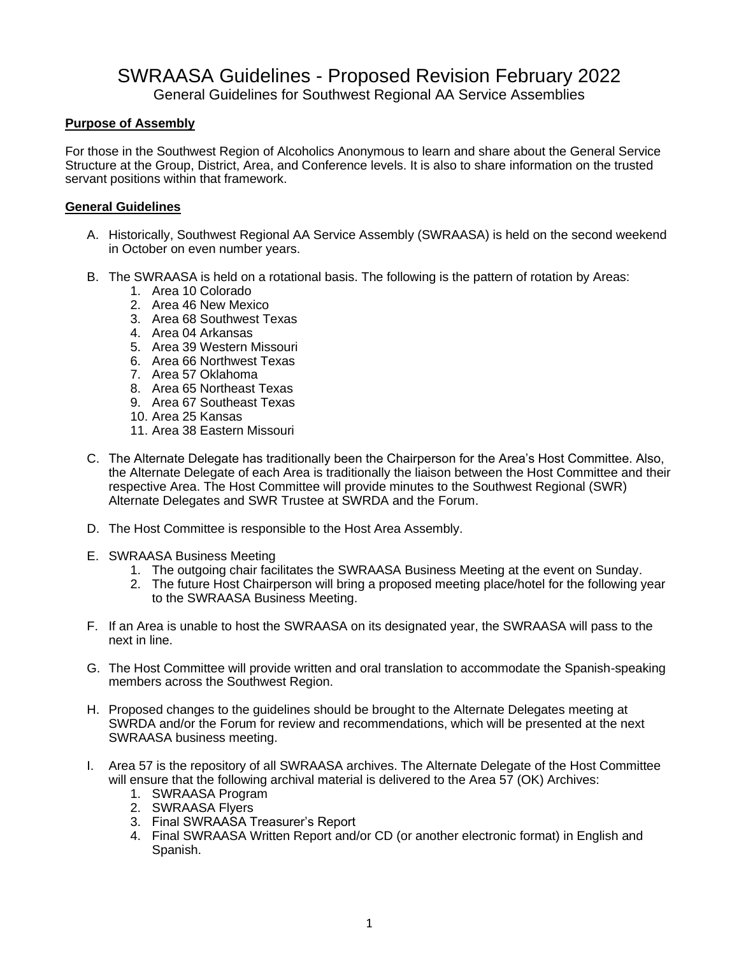# SWRAASA Guidelines - Proposed Revision February 2022

General Guidelines for Southwest Regional AA Service Assemblies

# **Purpose of Assembly**

For those in the Southwest Region of Alcoholics Anonymous to learn and share about the General Service Structure at the Group, District, Area, and Conference levels. It is also to share information on the trusted servant positions within that framework.

## **General Guidelines**

- A. Historically, Southwest Regional AA Service Assembly (SWRAASA) is held on the second weekend in October on even number years.
- B. The SWRAASA is held on a rotational basis. The following is the pattern of rotation by Areas:
	- 1. Area 10 Colorado
	- 2. Area 46 New Mexico
	- 3. Area 68 Southwest Texas
	- 4. Area 04 Arkansas
	- 5. Area 39 Western Missouri
	- 6. Area 66 Northwest Texas
	- 7. Area 57 Oklahoma
	- 8. Area 65 Northeast Texas
	- 9. Area 67 Southeast Texas
	- 10. Area 25 Kansas
	- 11. Area 38 Eastern Missouri
- C. The Alternate Delegate has traditionally been the Chairperson for the Area's Host Committee. Also, the Alternate Delegate of each Area is traditionally the liaison between the Host Committee and their respective Area. The Host Committee will provide minutes to the Southwest Regional (SWR) Alternate Delegates and SWR Trustee at SWRDA and the Forum.
- D. The Host Committee is responsible to the Host Area Assembly.
- E. SWRAASA Business Meeting
	- 1. The outgoing chair facilitates the SWRAASA Business Meeting at the event on Sunday.
	- 2. The future Host Chairperson will bring a proposed meeting place/hotel for the following year to the SWRAASA Business Meeting.
- F. If an Area is unable to host the SWRAASA on its designated year, the SWRAASA will pass to the next in line.
- G. The Host Committee will provide written and oral translation to accommodate the Spanish-speaking members across the Southwest Region.
- H. Proposed changes to the guidelines should be brought to the Alternate Delegates meeting at SWRDA and/or the Forum for review and recommendations, which will be presented at the next SWRAASA business meeting.
- I. Area 57 is the repository of all SWRAASA archives. The Alternate Delegate of the Host Committee will ensure that the following archival material is delivered to the Area 57 (OK) Archives:
	- 1. SWRAASA Program
	- 2. SWRAASA Flyers
	- 3. Final SWRAASA Treasurer's Report
	- 4. Final SWRAASA Written Report and/or CD (or another electronic format) in English and Spanish.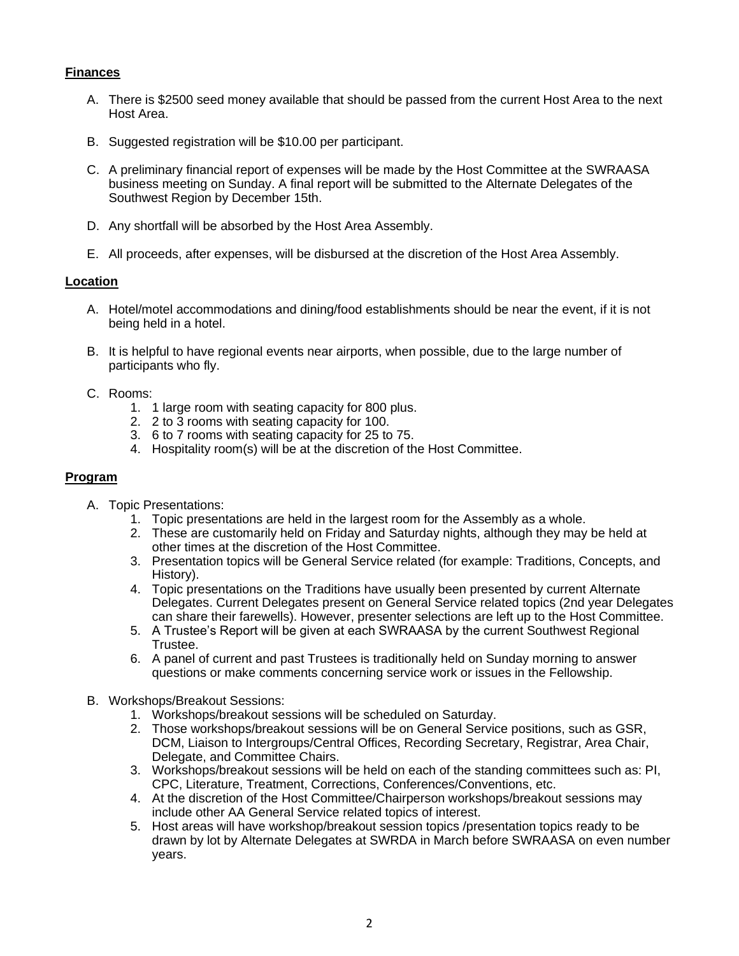## **Finances**

- A. There is \$2500 seed money available that should be passed from the current Host Area to the next Host Area.
- B. Suggested registration will be \$10.00 per participant.
- C. A preliminary financial report of expenses will be made by the Host Committee at the SWRAASA business meeting on Sunday. A final report will be submitted to the Alternate Delegates of the Southwest Region by December 15th.
- D. Any shortfall will be absorbed by the Host Area Assembly.
- E. All proceeds, after expenses, will be disbursed at the discretion of the Host Area Assembly.

#### **Location**

- A. Hotel/motel accommodations and dining/food establishments should be near the event, if it is not being held in a hotel.
- B. It is helpful to have regional events near airports, when possible, due to the large number of participants who fly.
- C. Rooms:
	- 1. 1 large room with seating capacity for 800 plus.
	- 2. 2 to 3 rooms with seating capacity for 100.
	- 3. 6 to 7 rooms with seating capacity for 25 to 75.
	- 4. Hospitality room(s) will be at the discretion of the Host Committee.

#### **Program**

- A. Topic Presentations:
	- 1. Topic presentations are held in the largest room for the Assembly as a whole.
	- 2. These are customarily held on Friday and Saturday nights, although they may be held at other times at the discretion of the Host Committee.
	- 3. Presentation topics will be General Service related (for example: Traditions, Concepts, and History).
	- 4. Topic presentations on the Traditions have usually been presented by current Alternate Delegates. Current Delegates present on General Service related topics (2nd year Delegates can share their farewells). However, presenter selections are left up to the Host Committee.
	- 5. A Trustee's Report will be given at each SWRAASA by the current Southwest Regional Trustee.
	- 6. A panel of current and past Trustees is traditionally held on Sunday morning to answer questions or make comments concerning service work or issues in the Fellowship.
- B. Workshops/Breakout Sessions:
	- 1. Workshops/breakout sessions will be scheduled on Saturday.
	- 2. Those workshops/breakout sessions will be on General Service positions, such as GSR, DCM, Liaison to Intergroups/Central Offices, Recording Secretary, Registrar, Area Chair, Delegate, and Committee Chairs.
	- 3. Workshops/breakout sessions will be held on each of the standing committees such as: PI, CPC, Literature, Treatment, Corrections, Conferences/Conventions, etc.
	- 4. At the discretion of the Host Committee/Chairperson workshops/breakout sessions may include other AA General Service related topics of interest.
	- 5. Host areas will have workshop/breakout session topics /presentation topics ready to be drawn by lot by Alternate Delegates at SWRDA in March before SWRAASA on even number years.